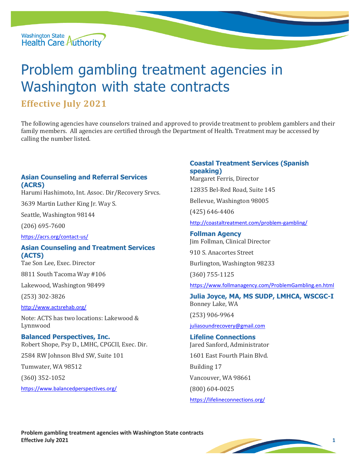

# Problem gambling treatment agencies in Washington with state contracts

## **Effective July 2021**

The following agencies have counselors trained and approved to provide treatment to problem gamblers and their family members. All agencies are certified through the Department of Health. Treatment may be accessed by calling the number listed.

## **Asian Counseling and Referral Services (ACRS)**

Harumi Hashimoto, Int. Assoc. Dir/Recovery Srvcs.

3639 Martin Luther King Jr. Way S.

Seattle, Washington 98144

(206) 695-7600

<https://acrs.org/contact-us/>

## **Asian Counseling and Treatment Services (ACTS)**

Tae Son Lee, Exec. Director

8811 South Tacoma Way #106

Lakewood, Washington 98499

(253) 302-3826

<http://www.actsrehab.org/>

Note: ACTS has two locations: Lakewood & Lynnwood

**Balanced Perspectives, Inc.** Robert Shope, Psy D., LMHC, CPGCII, Exec. Dir.

2584 RW Johnson Blvd SW, Suite 101

Tumwater, WA 98512

(360) 352-1052

<https://www.balancedperspectives.org/>

## **Coastal Treatment Services (Spanish speaking)**

Margaret Ferris, Director

12835 Bel-Red Road, Suite 145

Bellevue, Washington 98005

(425) 646-4406

<http://coastaltreatment.com/problem-gambling/>

**Follman Agency** Jim Follman, Clinical Director

910 S. Anacortes Street

Burlington, Washington 98233

(360) 755-1125

<https://www.follmanagency.com/ProblemGambling.en.html>

**Julia Joyce, MA, MS SUDP, LMHCA, WSCGC-I** Bonney Lake, WA

(253) 906-9964

#### [juliasoundrecovery@gmail.com](mailto:juliasoundrecovery@gmail.com)

**Lifeline Connections** Jared Sanford, Administrator 1601 East Fourth Plain Blvd. Building 17 Vancouver, WA 98661 (800) 604-0025 <https://lifelineconnections.org/>